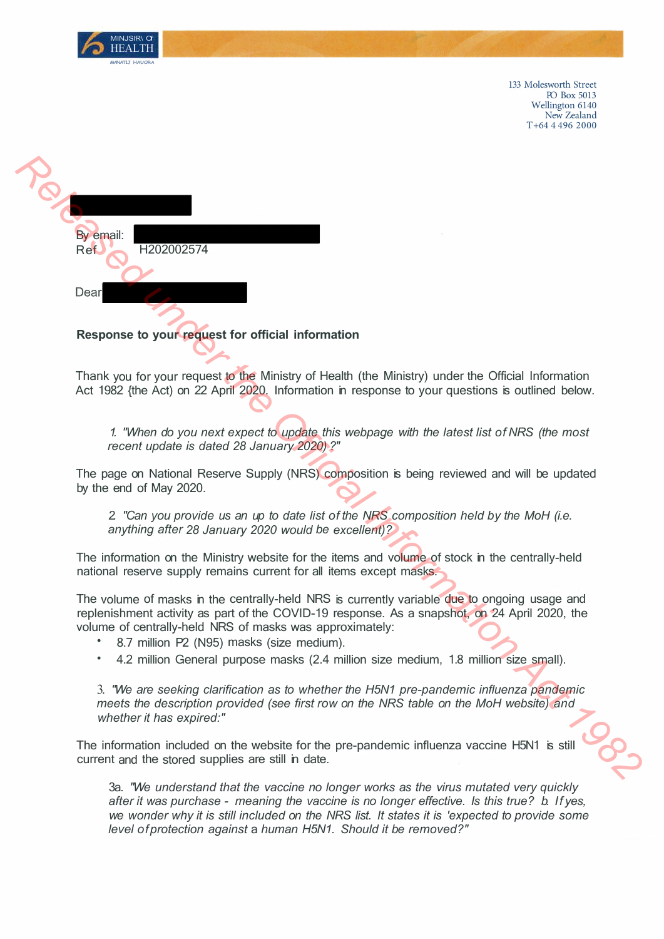

133 Molesworth Street PO Box 5013 Wellington 6140 New Zealand T +64 4 496 2000

By email: Ref H202002574 **Response to your request of the Ministry of Health (the Ministry) under the Official Information Thank you for your request to the Ministry of Health (the Ministry) under the Official Information Act 1982 (the Aci) on 22** 

**Response to your request for official information** 

Thank you for your request to the Ministry of Health (the Ministry) under the Official Information Act 1982 {the Act) on 22 April 2020. Information in response to your questions is outlined below.

*1. "When do you next expect to update this webpage with the latest list of NRS (the most recent update is dated 28 January 2020) ?"* 

The page on National Reserve Supply (NRS) composition is being reviewed and will be updated by the end of May 2020.

*2. "Can you provide us an up to date list of the NRS composition held by the MoH (i.e. anything after 28 January 2020 would be excellent)?*

The information on the Ministry website for the items and volume of stock in the centrally-held national reserve supply remains current for all items except masks.

The volume of masks in the centrally-held NRS is currently variable due to ongoing usage and replenishment activity as part of the COVID-19 response. As a snapshot, on 24 April 2020, the volume of centrally-held NRS of masks was approximately:

- 8.7 million P2 (N95) masks (size medium).
- 4.2 million General purpose masks (2.4 million size medium, 1.8 million size small).

3. *"We are seeking clarification as to whether the H5N1 pre-pandemic influenza pandemic meets the description provided (see first row on the NRS table on the MoH website) and whether it has expired:"*

The information included on the website for the pre-pandemic influenza vaccine H5N1 is still current and the stored supplies are still in date.

3a. *"We understand that the vaccine no longer works as the virus mutated very quickly after it was purchase* - *meaning the vaccine is no longer effective. Is this true? b. If yes, we wonder why it is still included on the NRS list. It states it is 'expected to provide some level of protection against* a *human H5N1. Should it be removed?"*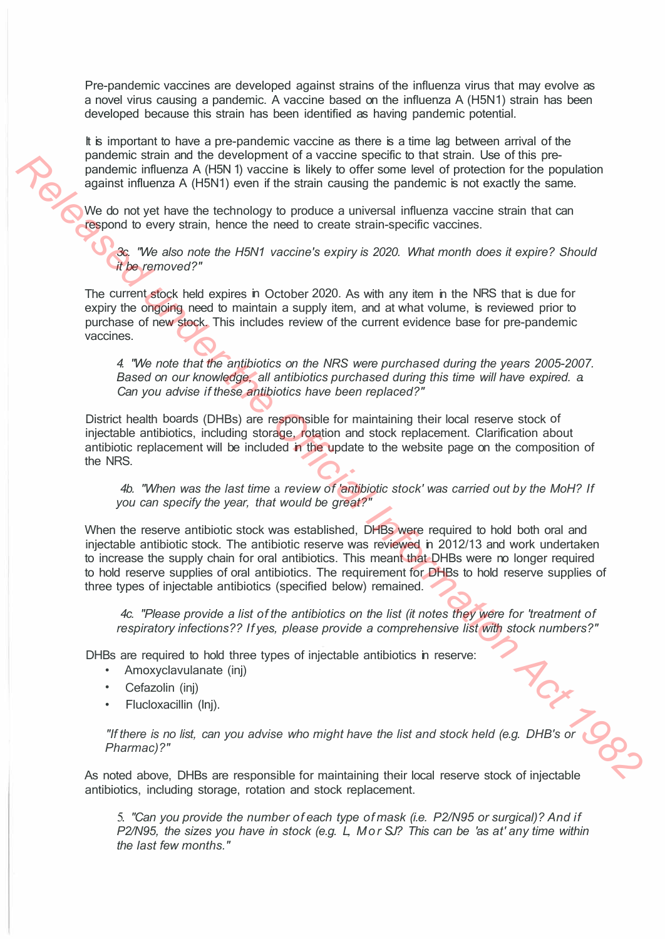Pre-pandemic vaccines are developed against strains of the influenza virus that may evolve as a novel virus causing a pandemic. A vaccine based on the influenza A (H5N1) strain has been developed because this strain has been identified as having pandemic potential.

It is important to have a pre-pandemic vaccine as there is a time lag between arrival of the pandemic strain and the development of a vaccine specific to that strain. Use of this prepandemic influenza A (H5N 1) vaccine is likely to offer some level of protection for the population against influenza A (H5N1) even if the strain causing the pandemic is not exactly the same.

We do not yet have the technology to produce a universal influenza vaccine strain that can respond to every strain, hence the need to create strain-specific vaccines.

*3c. "We also note the H5N1 vaccine's expiry is 2020. What month does it expire? Should it be removed?"* 

The current stock held expires in October 2020. As with any item in the NRS that is due for expiry the ongoing need to maintain a supply item, and at what volume, is reviewed prior to purchase of new stock. This includes review of the current evidence base for pre-pandemic vaccines.

*4. "We note that the antibiotics on the NRS were purchased during the years 2005-2007. Based on our knowledge, all antibiotics purchased during this time will have expired. a. Can you advise if these antibiotics have been replaced?"*

District health boards (DHBs) are responsible for maintaining their local reserve stock of injectable antibiotics, including storage, rotation and stock replacement. Clarification about antibiotic replacement will be included in the update to the website page on the composition of the NRS.

*4b. "When was the last time* a *review of 'antibiotic stock' was carried out by the MoH? If you can specify the year, that would be great?"* 

When the reserve antibiotic stock was established, DHBs were required to hold both oral and injectable antibiotic stock. The antibiotic reserve was reviewed in 2012/13 and work undertaken to increase the supply chain for oral antibiotics. This meant that DHBs were no longer required to hold reserve supplies of oral antibiotics. The requirement for DHBs to hold reserve supplies of three types of injectable antibiotics (specified below) remained. **Particular and the development of a vaccine specific that stan. Use of the population points influenza A (FSN1) vaction is likely to office some best of protection for the population and A (this of information Act 1982)** 

*4c. "Please provide a list of the antibiotics on the list (it notes they were for 'treatment of respiratory infections?? If yes, please provide a comprehensive list with stock numbers?"* 

DHBs are required to hold three types of injectable antibiotics in reserve:

- Amoxyclavulanate (inj)
- Cefazolin (inj)
- Flucloxacillin (lnj).

"If there is no list, can you advise who might have the list and stock held (e.g. DHB's or *Pharmac)?"* 

As noted above, DHBs are responsible for maintaining their local reserve stock of injectable antibiotics, including storage, rotation and stock replacement.

5. *"Can you provide the number of each type of mask (i.e. P2/N95 or surgical)? And if P2/N95, the sizes you have in stock (e.g. L, Mor SJ? This can be 'as at' any time within the last few months."*